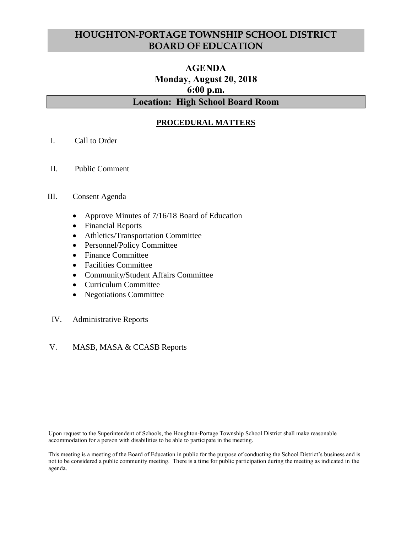# **HOUGHTON-PORTAGE TOWNSHIP SCHOOL DISTRICT BOARD OF EDUCATION**

# **AGENDA Monday, August 20, 2018 6:00 p.m. Location: High School Board Room**

# **PROCEDURAL MATTERS**

- I. Call to Order
- II. Public Comment

## III. Consent Agenda

- Approve Minutes of 7/16/18 Board of Education
- Financial Reports
- Athletics/Transportation Committee
- Personnel/Policy Committee
- Finance Committee
- Facilities Committee
- Community/Student Affairs Committee
- Curriculum Committee
- Negotiations Committee
- IV. Administrative Reports

## V. MASB, MASA & CCASB Reports

Upon request to the Superintendent of Schools, the Houghton-Portage Township School District shall make reasonable accommodation for a person with disabilities to be able to participate in the meeting.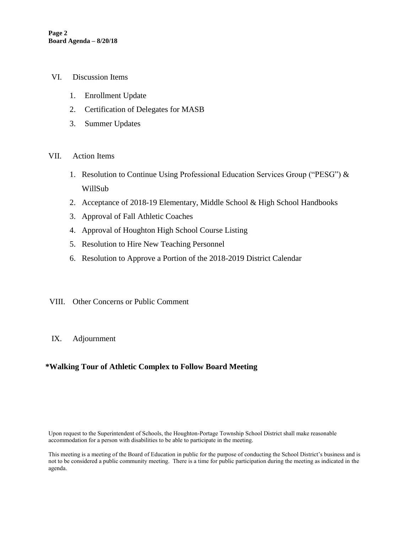- VI. Discussion Items
	- 1. Enrollment Update
	- 2. Certification of Delegates for MASB
	- 3. Summer Updates
- VII. Action Items
	- 1. Resolution to Continue Using Professional Education Services Group ("PESG") & WillSub
	- 2. Acceptance of 2018-19 Elementary, Middle School & High School Handbooks
	- 3. Approval of Fall Athletic Coaches
	- 4. Approval of Houghton High School Course Listing
	- 5. Resolution to Hire New Teaching Personnel
	- 6. Resolution to Approve a Portion of the 2018-2019 District Calendar
- VIII. Other Concerns or Public Comment
- IX. Adjournment

# **\*Walking Tour of Athletic Complex to Follow Board Meeting**

Upon request to the Superintendent of Schools, the Houghton-Portage Township School District shall make reasonable accommodation for a person with disabilities to be able to participate in the meeting.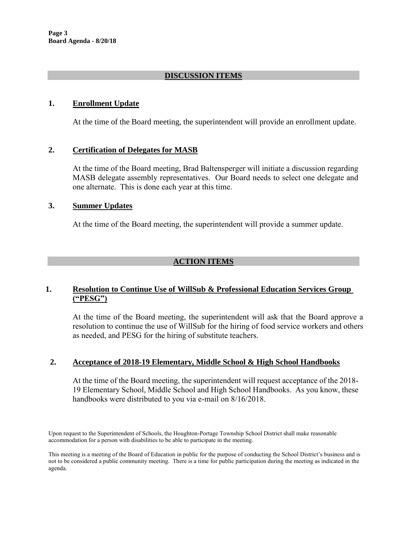# **DISCUSSION ITEMS**

# **1. Enrollment Update**

At the time of the Board meeting, the superintendent will provide an enrollment update.

# **2. Certification of Delegates for MASB**

At the time of the Board meeting, Brad Baltensperger will initiate a discussion regarding MASB delegate assembly representatives. Our Board needs to select one delegate and one alternate. This is done each year at this time.

## **3. Summer Updates**

At the time of the Board meeting, the superintendent will provide a summer update.

# **ACTION ITEMS**

# **1. Resolution to Continue Use of WillSub & Professional Education Services Group ("PESG")**

At the time of the Board meeting, the superintendent will ask that the Board approve a resolution to continue the use of WillSub for the hiring of food service workers and others as needed, and PESG for the hiring of substitute teachers.

## **2. Acceptance of 2018-19 Elementary, Middle School & High School Handbooks**

At the time of the Board meeting, the superintendent will request acceptance of the 2018- 19 Elementary School, Middle School and High School Handbooks. As you know, these handbooks were distributed to you via e-mail on 8/16/2018.

Upon request to the Superintendent of Schools, the Houghton-Portage Township School District shall make reasonable accommodation for a person with disabilities to be able to participate in the meeting.